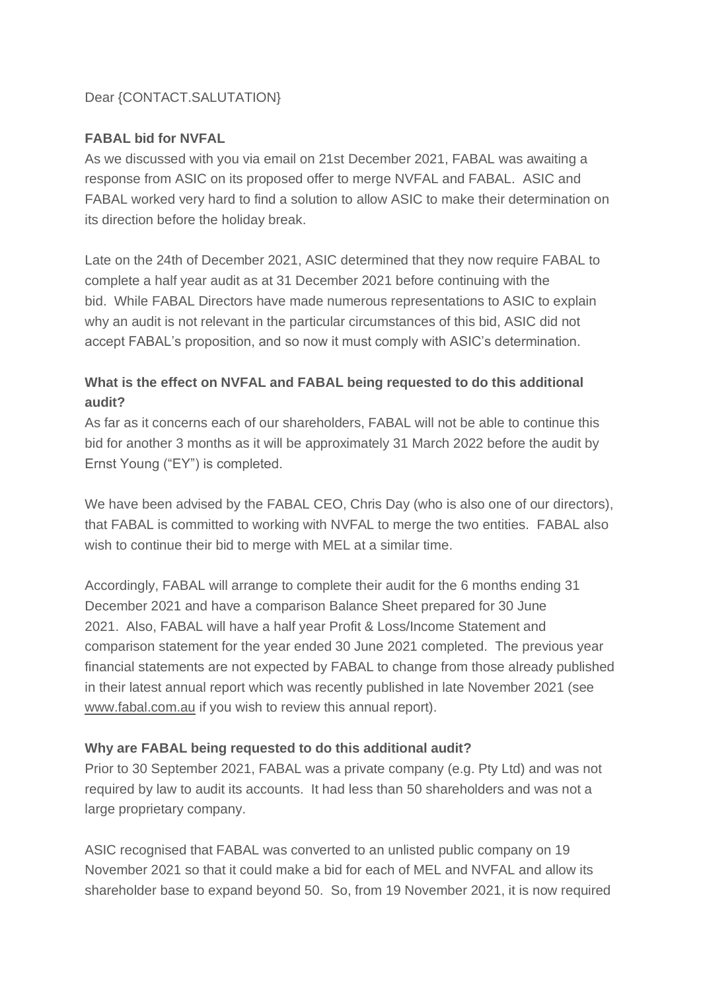### Dear {CONTACT.SALUTATION}

### **FABAL bid for NVFAL**

As we discussed with you via email on 21st December 2021, FABAL was awaiting a response from ASIC on its proposed offer to merge NVFAL and FABAL. ASIC and FABAL worked very hard to find a solution to allow ASIC to make their determination on its direction before the holiday break.

Late on the 24th of December 2021, ASIC determined that they now require FABAL to complete a half year audit as at 31 December 2021 before continuing with the bid. While FABAL Directors have made numerous representations to ASIC to explain why an audit is not relevant in the particular circumstances of this bid, ASIC did not accept FABAL's proposition, and so now it must comply with ASIC's determination.

# **What is the effect on NVFAL and FABAL being requested to do this additional audit?**

As far as it concerns each of our shareholders, FABAL will not be able to continue this bid for another 3 months as it will be approximately 31 March 2022 before the audit by Ernst Young ("EY") is completed.

We have been advised by the FABAL CEO, Chris Day (who is also one of our directors), that FABAL is committed to working with NVFAL to merge the two entities. FABAL also wish to continue their bid to merge with MEL at a similar time.

Accordingly, FABAL will arrange to complete their audit for the 6 months ending 31 December 2021 and have a comparison Balance Sheet prepared for 30 June 2021. Also, FABAL will have a half year Profit & Loss/Income Statement and comparison statement for the year ended 30 June 2021 completed. The previous year financial statements are not expected by FABAL to change from those already published in their latest annual report which was recently published in late November 2021 (see [www.fabal.com.au](http://www.fabal.com.au/) if you wish to review this annual report).

#### **Why are FABAL being requested to do this additional audit?**

Prior to 30 September 2021, FABAL was a private company (e.g. Pty Ltd) and was not required by law to audit its accounts. It had less than 50 shareholders and was not a large proprietary company.

ASIC recognised that FABAL was converted to an unlisted public company on 19 November 2021 so that it could make a bid for each of MEL and NVFAL and allow its shareholder base to expand beyond 50. So, from 19 November 2021, it is now required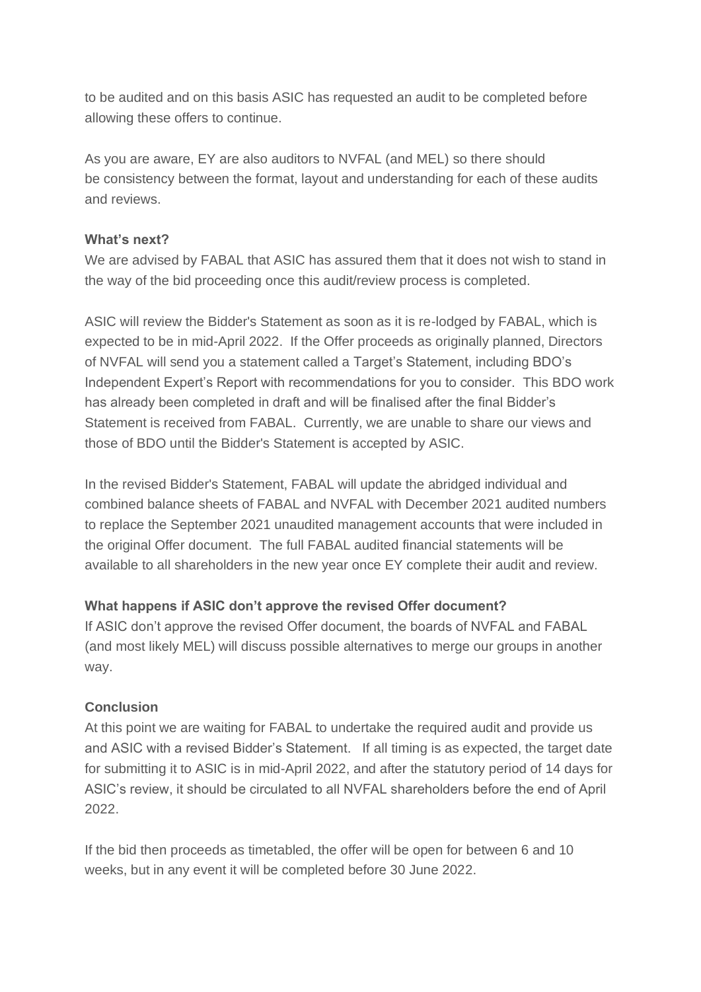to be audited and on this basis ASIC has requested an audit to be completed before allowing these offers to continue.

As you are aware, EY are also auditors to NVFAL (and MEL) so there should be consistency between the format, layout and understanding for each of these audits and reviews.

### **What's next?**

We are advised by FABAL that ASIC has assured them that it does not wish to stand in the way of the bid proceeding once this audit/review process is completed.

ASIC will review the Bidder's Statement as soon as it is re-lodged by FABAL, which is expected to be in mid-April 2022. If the Offer proceeds as originally planned, Directors of NVFAL will send you a statement called a Target's Statement, including BDO's Independent Expert's Report with recommendations for you to consider. This BDO work has already been completed in draft and will be finalised after the final Bidder's Statement is received from FABAL. Currently, we are unable to share our views and those of BDO until the Bidder's Statement is accepted by ASIC.

In the revised Bidder's Statement, FABAL will update the abridged individual and combined balance sheets of FABAL and NVFAL with December 2021 audited numbers to replace the September 2021 unaudited management accounts that were included in the original Offer document. The full FABAL audited financial statements will be available to all shareholders in the new year once EY complete their audit and review.

# **What happens if ASIC don't approve the revised Offer document?**

If ASIC don't approve the revised Offer document, the boards of NVFAL and FABAL (and most likely MEL) will discuss possible alternatives to merge our groups in another way.

# **Conclusion**

At this point we are waiting for FABAL to undertake the required audit and provide us and ASIC with a revised Bidder's Statement. If all timing is as expected, the target date for submitting it to ASIC is in mid-April 2022, and after the statutory period of 14 days for ASIC's review, it should be circulated to all NVFAL shareholders before the end of April 2022.

If the bid then proceeds as timetabled, the offer will be open for between 6 and 10 weeks, but in any event it will be completed before 30 June 2022.